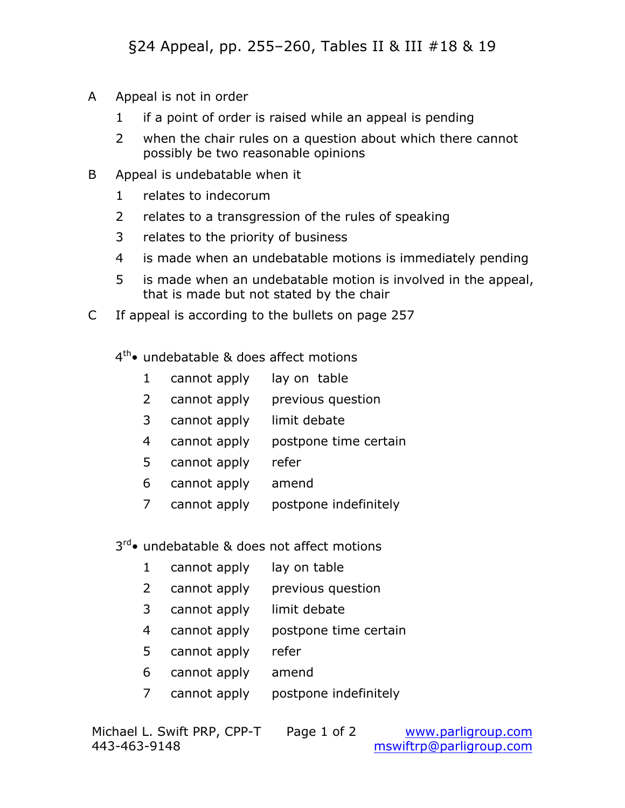- A Appeal is not in order
	- if a point of order is raised while an appeal is pending
	- when the chair rules on a question about which there cannot possibly be two reasonable opinions
- B Appeal is undebatable when it
	- relates to indecorum
	- relates to a transgression of the rules of speaking
	- relates to the priority of business
	- is made when an undebatable motions is immediately pending
	- is made when an undebatable motion is involved in the appeal, that is made but not stated by the chair
- C If appeal is according to the bullets on page 257

 $4<sup>th</sup>$  undebatable & does affect motions

- cannot apply lay on table
- cannot apply previous question
- cannot apply limit debate
- cannot apply postpone time certain
- cannot apply refer
- cannot apply amend
- cannot apply postpone indefinitely

3<sup>rd</sup>• undebatable & does not affect motions

- cannot apply lay on table
- cannot apply previous question
- cannot apply limit debate
- cannot apply postpone time certain
- cannot apply refer
- cannot apply amend
- cannot apply postpone indefinitely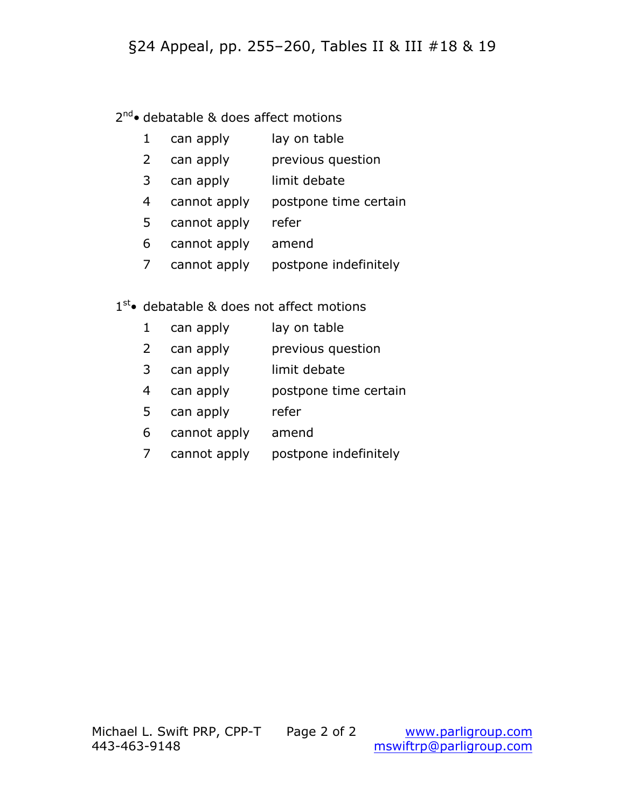#### §24 Appeal, pp. 255–260, Tables II & III #18 & 19

#### 2<sup>nd</sup>• debatable & does affect motions

- 1 can apply lay on table
- 2 can apply previous question
- 3 can apply limit debate
- 4 cannot apply postpone time certain
- 5 cannot apply refer
- 6 cannot apply amend
- 7 cannot apply postpone indefinitely

#### 1<sup>st</sup>• debatable & does not affect motions

- 1 can apply lay on table
- 2 can apply previous question
- 3 can apply limit debate
- 4 can apply postpone time certain
- 5 can apply refer
- 6 cannot apply amend
- 7 cannot apply postpone indefinitely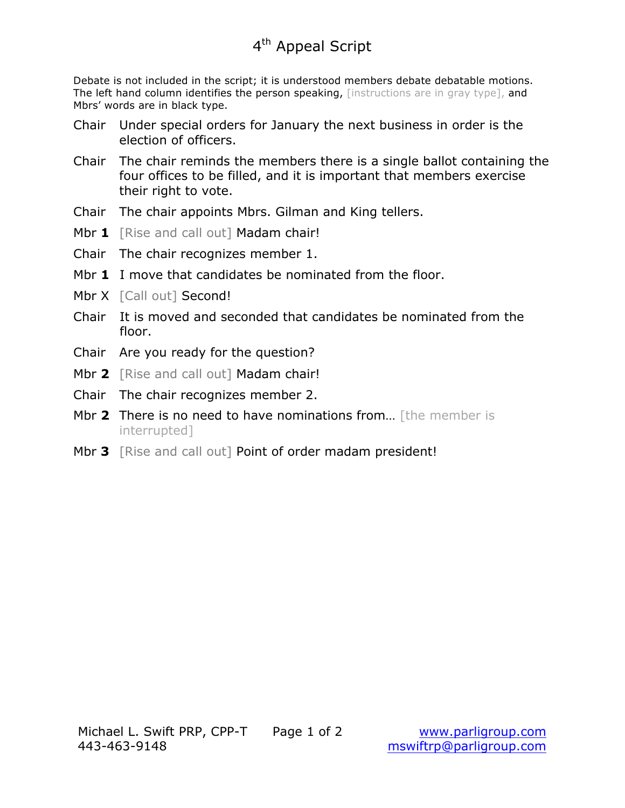Debate is not included in the script; it is understood members debate debatable motions. The left hand column identifies the person speaking, [instructions are in gray type], and Mbrs' words are in black type.

- Chair Under special orders for January the next business in order is the election of officers.
- Chair The chair reminds the members there is a single ballot containing the four offices to be filled, and it is important that members exercise their right to vote.
- Chair The chair appoints Mbrs. Gilman and King tellers.
- Mbr 1 [Rise and call out] Madam chair!
- Chair The chair recognizes member 1.
- Mbr **1** I move that candidates be nominated from the floor.
- Mbr X [Call out] Second!
- Chair It is moved and seconded that candidates be nominated from the floor.
- Chair Are you ready for the question?
- Mbr 2 [Rise and call out] Madam chair!
- Chair The chair recognizes member 2.
- Mbr 2 There is no need to have nominations from... [the member is interrupted]
- Mbr **3** [Rise and call out] Point of order madam president!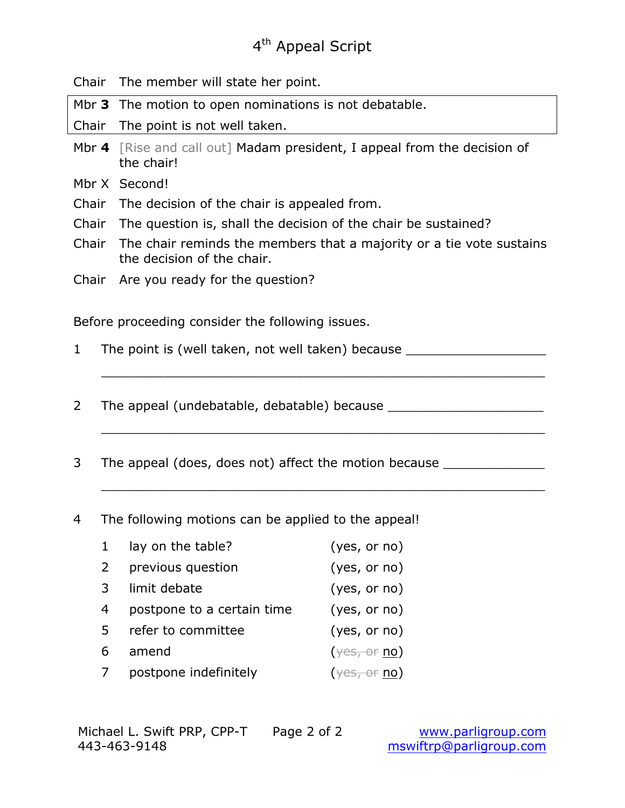### 4<sup>th</sup> Appeal Script

Chair The member will state her point.

Mbr **3** The motion to open nominations is not debatable.

Chair The point is not well taken.

- Mbr **4** [Rise and call out] Madam president, I appeal from the decision of the chair!
- Mbr X Second!
- Chair The decision of the chair is appealed from.
- Chair The question is, shall the decision of the chair be sustained?
- Chair The chair reminds the members that a majority or a tie vote sustains the decision of the chair.

\_\_\_\_\_\_\_\_\_\_\_\_\_\_\_\_\_\_\_\_\_\_\_\_\_\_\_\_\_\_\_\_\_\_\_\_\_\_\_\_\_\_\_\_\_\_\_\_\_\_\_\_\_\_\_\_\_

\_\_\_\_\_\_\_\_\_\_\_\_\_\_\_\_\_\_\_\_\_\_\_\_\_\_\_\_\_\_\_\_\_\_\_\_\_\_\_\_\_\_\_\_\_\_\_\_\_\_\_\_\_\_\_\_\_

\_\_\_\_\_\_\_\_\_\_\_\_\_\_\_\_\_\_\_\_\_\_\_\_\_\_\_\_\_\_\_\_\_\_\_\_\_\_\_\_\_\_\_\_\_\_\_\_\_\_\_\_\_\_\_\_\_

Chair Are you ready for the question?

Before proceeding consider the following issues.

- 1 The point is (well taken, not well taken) because \_\_\_\_\_\_\_\_\_\_\_\_\_\_\_\_\_\_\_\_\_\_\_\_\_\_\_\_
- 2 The appeal (undebatable, debatable) because
- 3 The appeal (does, does not) affect the motion because \_\_\_\_\_\_\_\_\_\_\_\_\_\_\_\_\_\_\_\_\_\_\_\_
- 4 The following motions can be applied to the appeal!
	- 1 lay on the table? (yes, or no) 2 previous question (yes, or no) 3 limit debate (yes, or no) 4 postpone to a certain time (yes, or no) 5 refer to committee (yes, or no) 6 amend  $(\gamma \text{es}, \text{or no})$ 7 postpone indefinitely  $($ <del>yes, or</del> no)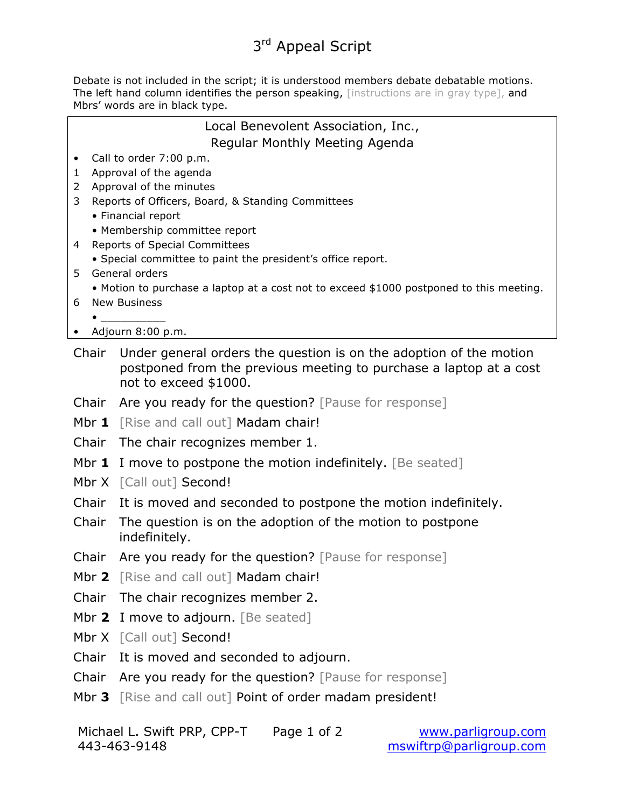# 3<sup>rd</sup> Appeal Script

Debate is not included in the script; it is understood members debate debatable motions. The left hand column identifies the person speaking, [instructions are in gray type], and Mbrs' words are in black type.

| Local Benevolent Association, Inc., |                                                                                              |  |  |  |  |
|-------------------------------------|----------------------------------------------------------------------------------------------|--|--|--|--|
|                                     | Regular Monthly Meeting Agenda                                                               |  |  |  |  |
| 1                                   | Call to order 7:00 p.m.<br>Approval of the agenda                                            |  |  |  |  |
| $\mathbf{2}$                        | Approval of the minutes                                                                      |  |  |  |  |
| 3                                   | Reports of Officers, Board, & Standing Committees                                            |  |  |  |  |
|                                     | • Financial report                                                                           |  |  |  |  |
|                                     | • Membership committee report                                                                |  |  |  |  |
| 4                                   | Reports of Special Committees<br>• Special committee to paint the president's office report. |  |  |  |  |
| 5                                   | General orders                                                                               |  |  |  |  |
|                                     | • Motion to purchase a laptop at a cost not to exceed \$1000 postponed to this meeting.      |  |  |  |  |
| 6                                   | <b>New Business</b>                                                                          |  |  |  |  |
|                                     | Adjourn 8:00 p.m.                                                                            |  |  |  |  |
|                                     | Chair Under general orders the question is on the adoption of the motion                     |  |  |  |  |
|                                     | postponed from the previous meeting to purchase a laptop at a cost                           |  |  |  |  |
|                                     | not to exceed \$1000.                                                                        |  |  |  |  |
|                                     | Chair Are you ready for the question? [Pause for response]                                   |  |  |  |  |
|                                     | Mbr 1 [Rise and call out] Madam chair!                                                       |  |  |  |  |
|                                     | Chair The chair recognizes member 1.                                                         |  |  |  |  |
|                                     | Mbr 1 I move to postpone the motion indefinitely. [Be seated]                                |  |  |  |  |
|                                     | Mbr X [Call out] Second!                                                                     |  |  |  |  |
| Chair                               | It is moved and seconded to postpone the motion indefinitely.                                |  |  |  |  |
| Chair                               | The question is on the adoption of the motion to postpone                                    |  |  |  |  |
|                                     | indefinitely.                                                                                |  |  |  |  |
| Chair                               | Are you ready for the question? [Pause for response]                                         |  |  |  |  |
|                                     | Mbr 2 [Rise and call out] Madam chair!                                                       |  |  |  |  |
| Chair                               | The chair recognizes member 2.                                                               |  |  |  |  |
|                                     | Mbr 2 I move to adjourn. [Be seated]                                                         |  |  |  |  |
|                                     | Mbr X [Call out] Second!                                                                     |  |  |  |  |
| Chair                               | It is moved and seconded to adjourn.                                                         |  |  |  |  |
| Chair                               | Are you ready for the question? [Pause for response]                                         |  |  |  |  |
|                                     | Mbr 3 [Rise and call out] Point of order madam president!                                    |  |  |  |  |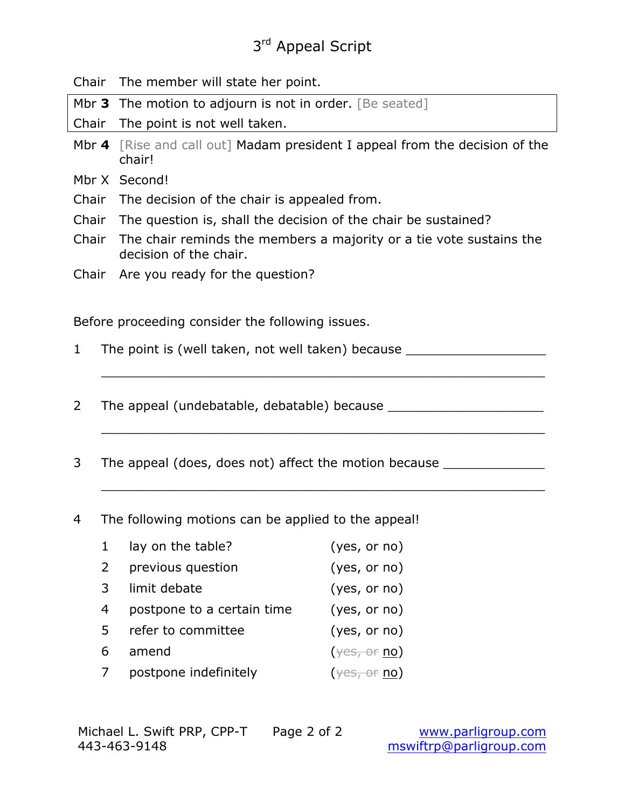# 3<sup>rd</sup> Appeal Script

Chair The member will state her point.

Mbr **3** The motion to adjourn is not in order. [Be seated]

Chair The point is not well taken.

- Mbr **4** [Rise and call out] Madam president I appeal from the decision of the chair!
- Mbr X Second!
- Chair The decision of the chair is appealed from.
- Chair The question is, shall the decision of the chair be sustained?
- Chair The chair reminds the members a majority or a tie vote sustains the decision of the chair.
- Chair Are you ready for the question?

Before proceeding consider the following issues.

1 The point is (well taken, not well taken) because \_\_\_\_\_\_\_\_\_\_\_\_\_\_\_\_\_\_\_\_\_\_\_\_\_\_\_\_

\_\_\_\_\_\_\_\_\_\_\_\_\_\_\_\_\_\_\_\_\_\_\_\_\_\_\_\_\_\_\_\_\_\_\_\_\_\_\_\_\_\_\_\_\_\_\_\_\_\_\_\_\_\_\_\_\_

\_\_\_\_\_\_\_\_\_\_\_\_\_\_\_\_\_\_\_\_\_\_\_\_\_\_\_\_\_\_\_\_\_\_\_\_\_\_\_\_\_\_\_\_\_\_\_\_\_\_\_\_\_\_\_\_\_

\_\_\_\_\_\_\_\_\_\_\_\_\_\_\_\_\_\_\_\_\_\_\_\_\_\_\_\_\_\_\_\_\_\_\_\_\_\_\_\_\_\_\_\_\_\_\_\_\_\_\_\_\_\_\_\_\_

- 2 The appeal (undebatable, debatable) because
- 3 The appeal (does, does not) affect the motion because \_\_\_\_\_\_\_\_\_\_\_\_\_\_\_\_\_\_\_\_\_\_\_\_
- 4 The following motions can be applied to the appeal!
	- 1 lay on the table? (yes, or no) 2 previous question (yes, or no) 3 limit debate (yes, or no) 4 postpone to a certain time (yes, or no) 5 refer to committee (yes, or no) 6 amend  $(\gamma \text{es}, \text{or no})$ 7 postpone indefinitely  $(\gamma e s, \theta r \text{ no})$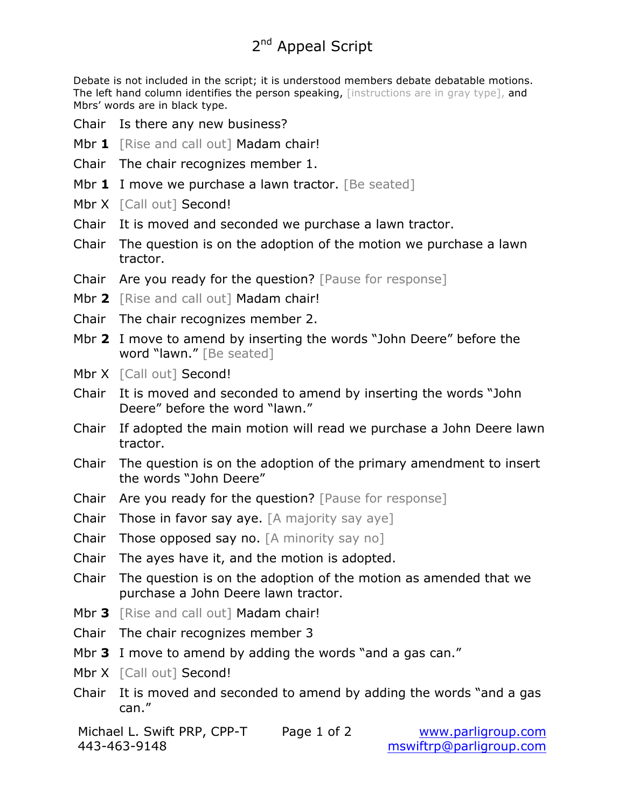# 2<sup>nd</sup> Appeal Script

Debate is not included in the script; it is understood members debate debatable motions. The left hand column identifies the person speaking, [instructions are in gray type], and Mbrs' words are in black type.

- Chair Is there any new business?
- Mbr 1 [Rise and call out] Madam chair!
- Chair The chair recognizes member 1.
- Mbr **1** I move we purchase a lawn tractor. [Be seated]
- Mbr X [Call out] Second!
- Chair It is moved and seconded we purchase a lawn tractor.
- Chair The question is on the adoption of the motion we purchase a lawn tractor.
- Chair Are you ready for the question? [Pause for response]
- Mbr 2 [Rise and call out] Madam chair!
- Chair The chair recognizes member 2.
- Mbr **2** I move to amend by inserting the words "John Deere" before the word "lawn." [Be seated]
- Mbr X [Call out] Second!
- Chair It is moved and seconded to amend by inserting the words "John Deere" before the word "lawn."
- Chair If adopted the main motion will read we purchase a John Deere lawn tractor.
- Chair The question is on the adoption of the primary amendment to insert the words "John Deere"
- Chair Are you ready for the question? [Pause for response]
- Chair Those in favor say aye. [A majority say aye]
- Chair Those opposed say no. [A minority say no]
- Chair The ayes have it, and the motion is adopted.
- Chair The question is on the adoption of the motion as amended that we purchase a John Deere lawn tractor.
- Mbr **3** [Rise and call out] Madam chair!
- Chair The chair recognizes member 3
- Mbr **3** I move to amend by adding the words "and a gas can."
- Mbr X [Call out] Second!
- Chair It is moved and seconded to amend by adding the words "and a gas can."
- Michael L. Swift PRP, CPP-T Page 1 of 2 www.parligroup.com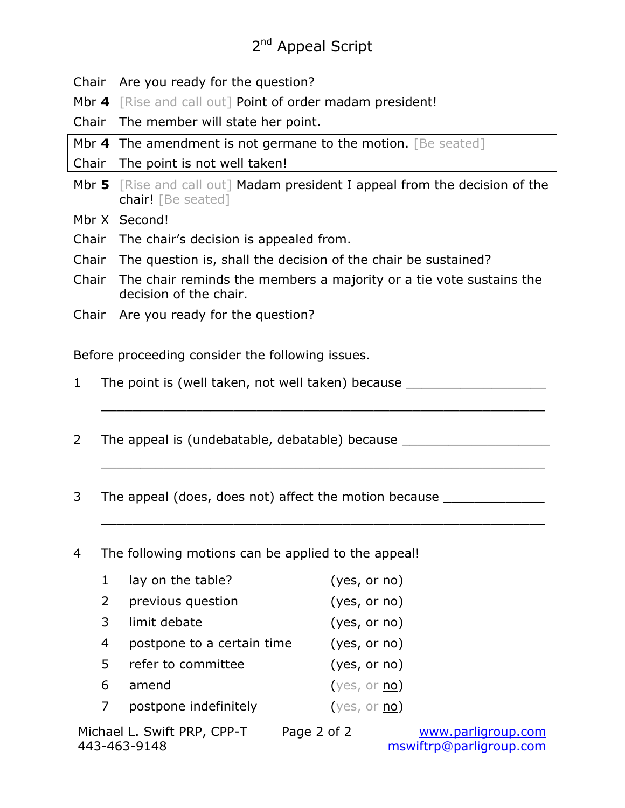# 2<sup>nd</sup> Appeal Script

Chair Are you ready for the question?

Mbr 4 [Rise and call out] Point of order madam president!

Chair The member will state her point.

Mbr 4 The amendment is not germane to the motion. [Be seated]

Chair The point is not well taken!

Mbr **5** [Rise and call out] Madam president I appeal from the decision of the chair! [Be seated]

Mbr X Second!

- Chair The chair's decision is appealed from.
- Chair The question is, shall the decision of the chair be sustained?
- Chair The chair reminds the members a majority or a tie vote sustains the decision of the chair.

\_\_\_\_\_\_\_\_\_\_\_\_\_\_\_\_\_\_\_\_\_\_\_\_\_\_\_\_\_\_\_\_\_\_\_\_\_\_\_\_\_\_\_\_\_\_\_\_\_\_\_\_\_\_\_\_\_

\_\_\_\_\_\_\_\_\_\_\_\_\_\_\_\_\_\_\_\_\_\_\_\_\_\_\_\_\_\_\_\_\_\_\_\_\_\_\_\_\_\_\_\_\_\_\_\_\_\_\_\_\_\_\_\_\_

\_\_\_\_\_\_\_\_\_\_\_\_\_\_\_\_\_\_\_\_\_\_\_\_\_\_\_\_\_\_\_\_\_\_\_\_\_\_\_\_\_\_\_\_\_\_\_\_\_\_\_\_\_\_\_\_\_

Chair Are you ready for the question?

Before proceeding consider the following issues.

- 1 The point is (well taken, not well taken) because \_\_\_\_\_\_\_\_\_\_\_\_\_\_\_\_\_\_\_\_\_\_\_\_\_\_\_\_
- 2 The appeal is (undebatable, debatable) because
- 3 The appeal (does, does not) affect the motion because \_\_\_\_\_\_\_\_\_\_\_\_\_\_\_\_\_\_\_\_\_\_\_\_

4 The following motions can be applied to the appeal!

|                | lay on the table?          | (yes, or no)                                       |
|----------------|----------------------------|----------------------------------------------------|
| $\overline{2}$ | previous question          | (yes, or no)                                       |
| 3              | limit debate               | (yes, or no)                                       |
| 4              | postpone to a certain time | (yes, or no)                                       |
| -5.            | refer to committee         | (yes, or no)                                       |
| 6              | amend                      | $(\frac{1}{2} \text{CSE}, \frac{1}{2} \text{CSE})$ |
|                | postpone indefinitely      | $(\frac{\sqrt{eS_t}-0f}{10})$                      |

Michael L. Swift PRP, CPP-T Page 2 of 2 www.parligroup.com 443-463-9148 mswiftrp@parligroup.com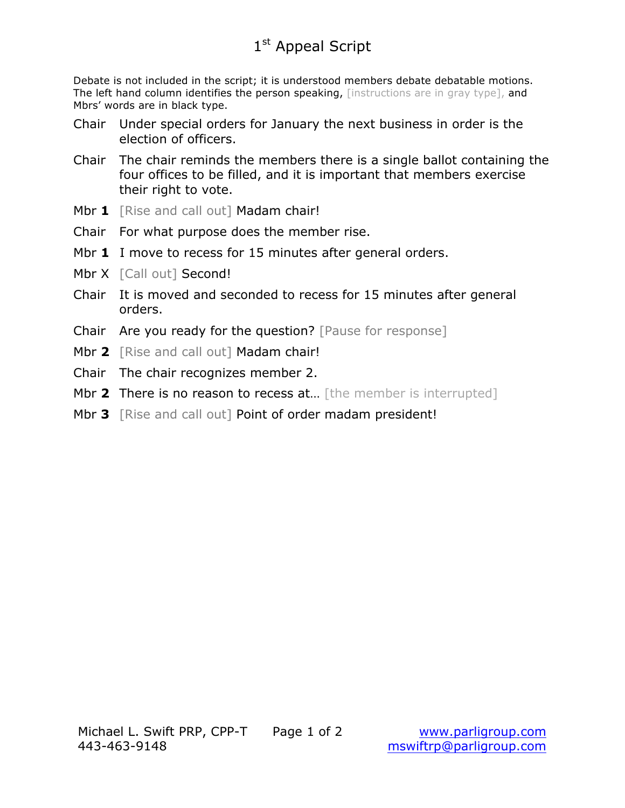Debate is not included in the script; it is understood members debate debatable motions. The left hand column identifies the person speaking, [instructions are in gray type], and Mbrs' words are in black type.

- Chair Under special orders for January the next business in order is the election of officers.
- Chair The chair reminds the members there is a single ballot containing the four offices to be filled, and it is important that members exercise their right to vote.
- Mbr 1 **FRise and call out] Madam chair!**
- Chair For what purpose does the member rise.
- Mbr **1** I move to recess for 15 minutes after general orders.
- Mbr X [Call out] Second!
- Chair It is moved and seconded to recess for 15 minutes after general orders.
- Chair Are you ready for the question? [Pause for response]
- Mbr 2 [Rise and call out] Madam chair!
- Chair The chair recognizes member 2.
- Mbr 2 There is no reason to recess at... [the member is interrupted]
- Mbr **3** [Rise and call out] Point of order madam president!